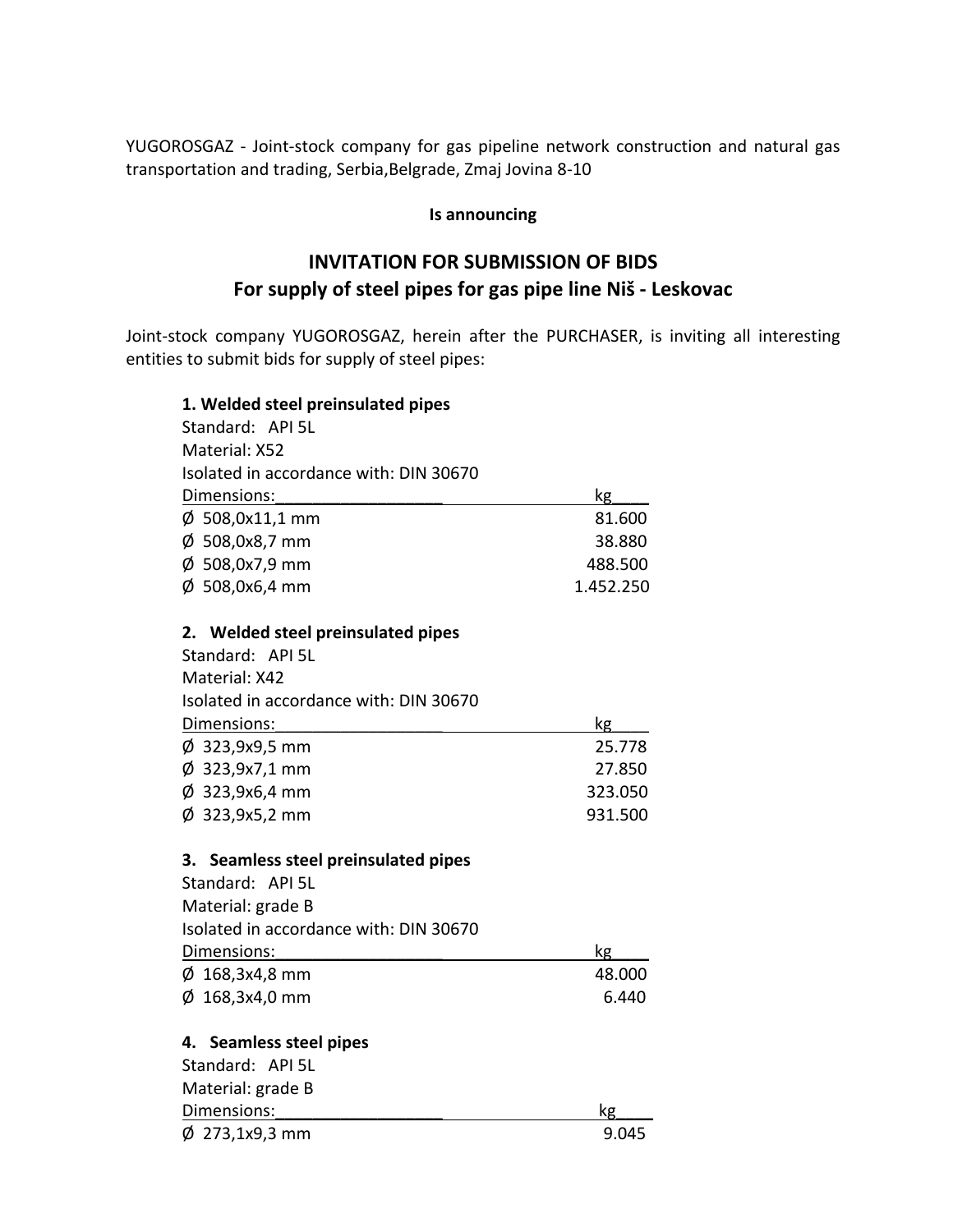YUGOROSGAZ ‐ Joint‐stock company for gas pipeline network construction and natural gas transportation and trading, Serbia,Belgrade, Zmaj Jovina 8‐10

## **Is announcing**

## **INVITATION FOR SUBMISSION OF BIDS For supply of steel pipes for gas pipe line Niš ‐ Leskovac**

Joint‐stock company YUGOROSGAZ, herein after the PURCHASER, is inviting all interesting entities to submit bids for supply of steel pipes:

## **1. Welded steel preinsulated pipes**  Standard: АРI 5L Material: Х52 Isolated in accordance with: DIN 30670 Dimensions:  $kg$  $\emptyset$  508,0x11,1 mm 81.600  $\phi$  508,0x8,7 mm 38.880  $\varphi$  508,0x7,9 mm 488.500  $\varphi$  508,0x6,4 mm 1.452.250 **2. Welded steel preinsulated pipes**  Standard: АРI 5L Маterial: Х42 Isolated in accordance with: DIN 30670 Dimensions:  $kg$ Ø 323,9х9,5 mm 25.778 Ø 323,9х7,1 mm 27.850  $\phi$  323,9x6,4 mm 323.050  $\phi$  323,9x5,2 mm 931.500 **3. Seamless steel preinsulated pipes**  Standard: АРI 5L Маterial: grade B Isolated in accordance with: DIN 30670 Dimensions:  $kg$  $\phi$  168,3x4,8 mm 48.000  $\varphi$  168,3x4,0 mm 6.440 **4. Seamless steel pipes**  Standard: АРI 5L Маterial: grade B Dimensions:  $kg$  $\phi$  273,1x9,3 mm 9.045